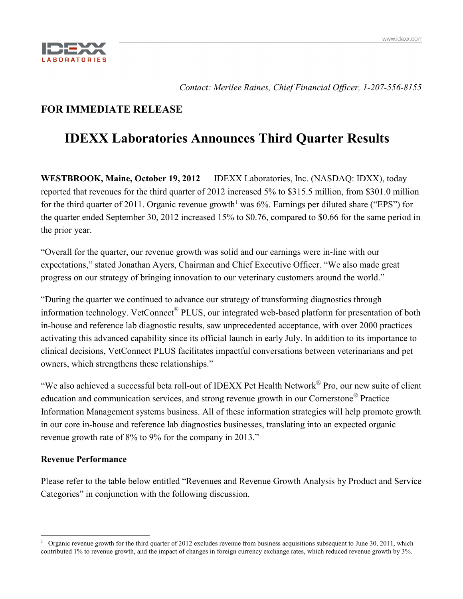

*Contact: Merilee Raines, Chief Financial Officer, 1-207-556-8155*

## **FOR IMMEDIATE RELEASE**

# **IDEXX Laboratories Announces Third Quarter Results**

**WESTBROOK, Maine, October 19, 2012** — IDEXX Laboratories, Inc. (NASDAQ: IDXX), today reported that revenues for the third quarter of 2012 increased 5% to \$315.5 million, from \$301.0 million for the third quarter of 20[1](#page-0-0)1. Organic revenue growth<sup>1</sup> was  $6\%$ . Earnings per diluted share ("EPS") for the quarter ended September 30, 2012 increased 15% to \$0.76, compared to \$0.66 for the same period in the prior year.

"Overall for the quarter, our revenue growth was solid and our earnings were in-line with our expectations," stated Jonathan Ayers, Chairman and Chief Executive Officer. "We also made great progress on our strategy of bringing innovation to our veterinary customers around the world."

"During the quarter we continued to advance our strategy of transforming diagnostics through information technology. VetConnect® PLUS, our integrated web-based platform for presentation of both in-house and reference lab diagnostic results, saw unprecedented acceptance, with over 2000 practices activating this advanced capability since its official launch in early July. In addition to its importance to clinical decisions, VetConnect PLUS facilitates impactful conversations between veterinarians and pet owners, which strengthens these relationships."

"We also achieved a successful beta roll-out of IDEXX Pet Health Network® Pro, our new suite of client education and communication services, and strong revenue growth in our Cornerstone® Practice Information Management systems business. All of these information strategies will help promote growth in our core in-house and reference lab diagnostics businesses, translating into an expected organic revenue growth rate of 8% to 9% for the company in 2013."

## **Revenue Performance**

Please refer to the table below entitled "Revenues and Revenue Growth Analysis by Product and Service Categories" in conjunction with the following discussion.

<span id="page-0-0"></span> <sup>1</sup> Organic revenue growth for the third quarter of 2012 excludes revenue from business acquisitions subsequent to June 30, 2011, which contributed 1% to revenue growth, and the impact of changes in foreign currency exchange rates, which reduced revenue growth by 3%.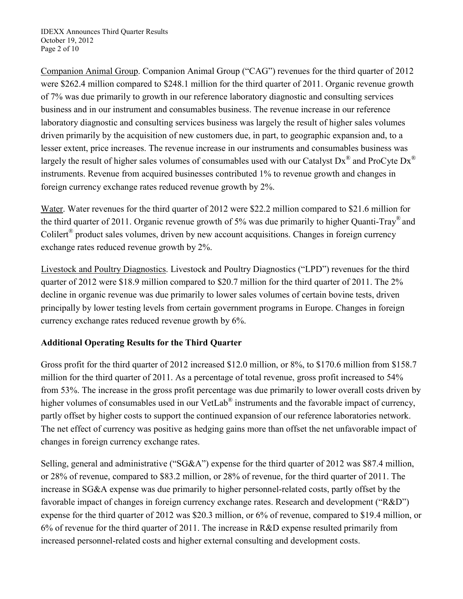IDEXX Announces Third Quarter Results October 19, 2012 Page 2 of 10

Companion Animal Group. Companion Animal Group ("CAG") revenues for the third quarter of 2012 were \$262.4 million compared to \$248.1 million for the third quarter of 2011. Organic revenue growth of 7% was due primarily to growth in our reference laboratory diagnostic and consulting services business and in our instrument and consumables business. The revenue increase in our reference laboratory diagnostic and consulting services business was largely the result of higher sales volumes driven primarily by the acquisition of new customers due, in part, to geographic expansion and, to a lesser extent, price increases. The revenue increase in our instruments and consumables business was largely the result of higher sales volumes of consumables used with our Catalyst Dx<sup>®</sup> and ProCyte Dx<sup>®</sup> instruments. Revenue from acquired businesses contributed 1% to revenue growth and changes in foreign currency exchange rates reduced revenue growth by 2%.

Water. Water revenues for the third quarter of 2012 were \$22.2 million compared to \$21.6 million for the third quarter of 2011. Organic revenue growth of 5% was due primarily to higher Quanti-Tray® and Colilert® product sales volumes, driven by new account acquisitions. Changes in foreign currency exchange rates reduced revenue growth by 2%.

Livestock and Poultry Diagnostics . Livestock and Poultry Diagnostics ("LPD") revenues for the third quarter of 2012 were \$18.9 million compared to \$20.7 million for the third quarter of 2011. The 2% decline in organic revenue was due primarily to lower sales volumes of certain bovine tests, driven principally by lower testing levels from certain government programs in Europe. Changes in foreign currency exchange rates reduced revenue growth by 6%.

## **Additional Operating Results for the Third Quarter**

Gross profit for the third quarter of 2012 increased \$12.0 million, or 8%, to \$170.6 million from \$158.7 million for the third quarter of 2011. As a percentage of total revenue, gross profit increased to 54% from 53%. The increase in the gross profit percentage was due primarily to lower overall costs driven by higher volumes of consumables used in our VetLab<sup>®</sup> instruments and the favorable impact of currency, partly offset by higher costs to support the continued expansion of our reference laboratories network. The net effect of currency was positive as hedging gains more than offset the net unfavorable impact of changes in foreign currency exchange rates.

Selling, general and administrative ("SG&A") expense for the third quarter of 2012 was \$87.4 million, or 28% of revenue, compared to \$83.2 million, or 28% of revenue, for the third quarter of 2011. The increase in SG&A expense was due primarily to higher personnel-related costs, partly offset by the favorable impact of changes in foreign currency exchange rates. Research and development ("R&D") expense for the third quarter of 2012 was \$20.3 million, or 6% of revenue, compared to \$19.4 million, or 6% of revenue for the third quarter of 2011. The increase in R&D expense resulted primarily from increased personnel-related costs and higher external consulting and development costs.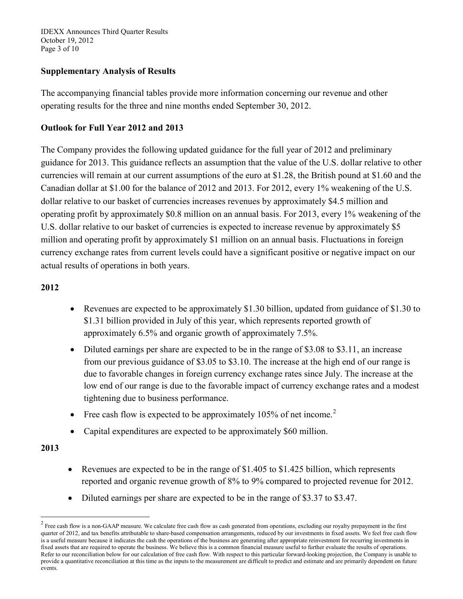IDEXX Announces Third Quarter Results October 19, 2012 Page 3 of 10

## **Supplementary Analysis of Results**

The accompanying financial tables provide more information concerning our revenue and other operating results for the three and nine months ended September 30, 2012.

## **Outlook for Full Year 2012 and 2013**

The Company provides the following updated guidance for the full year of 2012 and preliminary guidance for 2013. This guidance reflects an assumption that the value of the U.S. dollar relative to other currencies will remain at our current assumptions of the euro at \$1.28, the British pound at \$1.60 and the Canadian dollar at \$1.00 for the balance of 2012 and 2013. For 2012, every 1% weakening of the U.S. dollar relative to our basket of currencies increases revenues by approximately \$4.5 million and operating profit by approximately \$0.8 million on an annual basis. For 2013, every 1% weakening of the U.S. dollar relative to our basket of currencies is expected to increase revenue by approximately \$5 million and operating profit by approximately \$1 million on an annual basis. Fluctuations in foreign currency exchange rates from current levels could have a significant positive or negative impact on our actual results of operations in both years.

## **2012**

- Revenues are expected to be approximately \$1.30 billion, updated from guidance of \$1.30 to \$1.31 billion provided in July of this year, which represents reported growth of approximately 6.5% and organic growth of approximately 7.5%.
- Diluted earnings per share are expected to be in the range of \$3.08 to \$3.11, an increase from our previous guidance of \$3.05 to \$3.10. The increase at the high end of our range is due to favorable changes in foreign currency exchange rates since July. The increase at the low end of our range is due to the favorable impact of currency exchange rates and a modest tightening due to business performance.
- Free cash flow is expected to be approximately 105% of net income.<sup>[2](#page-2-0)</sup>
- Capital expenditures are expected to be approximately \$60 million.
- **2013**
- Revenues are expected to be in the range of \$1.405 to \$1.425 billion, which represents reported and organic revenue growth of 8% to 9% compared to projected revenue for 2012.
- Diluted earnings per share are expected to be in the range of \$3.37 to \$3.47.

<span id="page-2-0"></span> $2$  Free cash flow is a non-GAAP measure. We calculate free cash flow as cash generated from operations, excluding our royalty prepayment in the first quarter of 2012, and tax benefits attributable to share-based compensation arrangements, reduced by our investments in fixed assets. We feel free cash flow is a useful measure because it indicates the cash the operations of the business are generating after appropriate reinvestment for recurring investments in fixed assets that are required to operate the business. We believe this is a common financial measure useful to further evaluate the results of operations. Refer to our reconciliation below for our calculation of free cash flow. With respect to this particular forward-looking projection, the Company is unable to provide a quantitative reconciliation at this time as the inputs to the measurement are difficult to predict and estimate and are primarily dependent on future events.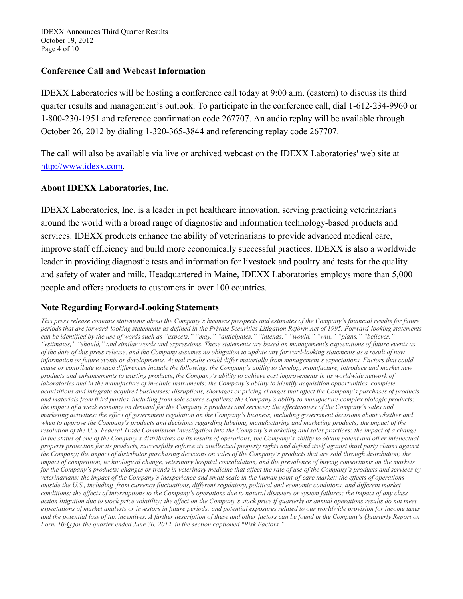IDEXX Announces Third Quarter Results October 19, 2012 Page 4 of 10

## **Conference Call and Webcast Information**

IDEXX Laboratories will be hosting a conference call today at 9:00 a.m. (eastern) to discuss its third quarter results and management's outlook. To participate in the conference call, dial 1-612-234-9960 or 1-800-230-1951 and reference confirmation code 267707. An audio replay will be available through October 26, 2012 by dialing 1-320-365-3844 and referencing replay code 267707.

The call will also be available via live or archived webcast on the IDEXX Laboratories' web site at [http://www.idexx.com.](http://www.idexx.com/)

### **About IDEXX Laboratories, Inc.**

IDEXX Laboratories, Inc. is a leader in pet healthcare innovation, serving practicing veterinarians around the world with a broad range of diagnostic and information technology-based products and services. IDEXX products enhance the ability of veterinarians to provide advanced medical care, improve staff efficiency and build more economically successful practices. IDEXX is also a worldwide leader in providing diagnostic tests and information for livestock and poultry and tests for the quality and safety of water and milk. Headquartered in Maine, IDEXX Laboratories employs more than 5,000 people and offers products to customers in over 100 countries.

## **Note Regarding Forward-Looking Statements**

*This press release contains statements about the Company's business prospects and estimates of the Company's financial results for future periods that are forward-looking statements as defined in the Private Securities Litigation Reform Act of 1995. Forward-looking statements can be identified by the use of words such as "expects," "may," "anticipates," "intends," "would," "will," "plans," "believes," "estimates," "should," and similar words and expressions. These statements are based on management's expectations of future events as of the date of this press release, and the Company assumes no obligation to update any forward-looking statements as a result of new information or future events or developments. Actual results could differ materially from management's expectations. Factors that could cause or contribute to such differences include the following: the Company's ability to develop, manufacture, introduce and market new products and enhancements to existing products*; *the Company's ability to achieve cost improvements in its worldwide network of laboratories and in the manufacture of in-clinic instruments; the Company's ability to identify acquisition opportunities, complete acquisitions and integrate acquired businesses; disruptions, shortages or pricing changes that affect the Company's purchases of products and materials from third parties, including from sole source suppliers; the Company's ability to manufacture complex biologic products; the impact of a weak economy on demand for the Company's products and services; the effectiveness of the Company's sales and marketing activities; the effect of government regulation on the Company's business, including government decisions about whether and when to approve the Company's products and decisions regarding labeling, manufacturing and marketing products; the impact of the resolution of the U.S. Federal Trade Commission investigation into the Company's marketing and sales practices; the impact of a change in the status of one of the Company's distributors on its results of operations; the Company's ability to obtain patent and other intellectual property protection for its products, successfully enforce its intellectual property rights and defend itself against third party claims against the Company; the impact of distributor purchasing decisions on sales of the Company's products that are sold through distribution; the impact of competition, technological change, veterinary hospital consolidation, and the prevalence of buying consortiums on the markets for the Company's products; changes or trends in veterinary medicine that affect the rate of use of the Company's products and services by veterinarians; the impact of the Company's inexperience and small scale in the human point-of-care market; the effects of operations outside the U.S., including from currency fluctuations, different regulatory, political and economic conditions, and different market conditions; the effects of interruptions to the Company's operations due to natural disasters or system failures; the impact of any class action litigation due to stock price volatility; the effect on the Company's stock price if quarterly or annual operations results do not meet expectations of market analysts or investors in future periods; and potential exposures related to our worldwide provision for income taxes and the potential loss of tax incentives. A further description of these and other factors can be found in the Company's Quarterly Report on Form 10-Q for the quarter ended June 30, 2012, in the section captioned "Risk Factors."*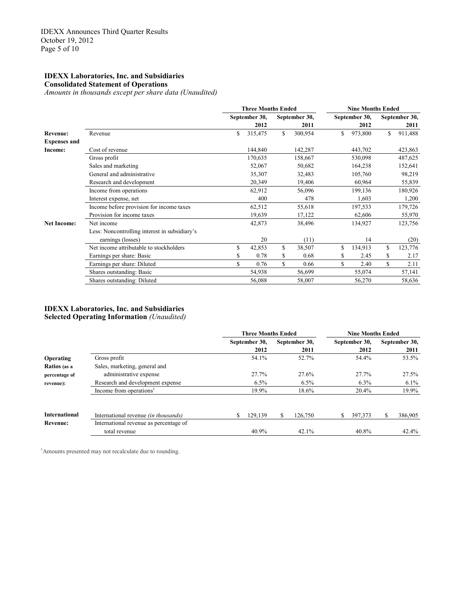**Consolidated Statement of Operations**

*Amounts in thousands except per share data (Unaudited)*

|                     |                                               | <b>Three Months Ended</b> |               |    |               | <b>Nine Months Ended</b> |               |             |               |  |
|---------------------|-----------------------------------------------|---------------------------|---------------|----|---------------|--------------------------|---------------|-------------|---------------|--|
|                     |                                               |                           | September 30, |    | September 30, |                          | September 30, |             | September 30, |  |
|                     |                                               |                           | 2012          |    | 2011          |                          | 2012          |             | 2011          |  |
| Revenue:            | Revenue                                       | \$                        | 315,475       | S  | 300,954       | \$                       | 973,800       | \$          | 911,488       |  |
| <b>Expenses and</b> |                                               |                           |               |    |               |                          |               |             |               |  |
| Income:             | Cost of revenue                               |                           | 144,840       |    | 142,287       |                          | 443,702       |             | 423,863       |  |
|                     | Gross profit                                  |                           | 170,635       |    | 158,667       |                          | 530,098       |             | 487,625       |  |
|                     | Sales and marketing                           |                           | 52,067        |    | 50,682        |                          | 164,238       |             | 152,641       |  |
|                     | General and administrative                    |                           | 35,307        |    | 32,483        |                          | 105,760       |             | 98,219        |  |
|                     | Research and development                      |                           | 20,349        |    | 19,406        |                          | 60,964        |             | 55,839        |  |
|                     | Income from operations                        |                           | 62,912        |    | 56,096        |                          | 199,136       |             | 180,926       |  |
|                     | Interest expense, net                         |                           | 400           |    | 478           |                          | 1,603         |             | 1,200         |  |
|                     | Income before provision for income taxes      |                           | 62,512        |    | 55,618        |                          | 197,533       |             | 179,726       |  |
|                     | Provision for income taxes                    |                           | 19,639        |    | 17,122        |                          | 62,606        |             | 55,970        |  |
| <b>Net Income:</b>  | Net income                                    |                           | 42,873        |    | 38,496        |                          | 134,927       |             | 123,756       |  |
|                     | Less: Noncontrolling interest in subsidiary's |                           |               |    |               |                          |               |             |               |  |
|                     | earnings (losses)                             |                           | 20            |    | (11)          |                          | 14            |             | (20)          |  |
|                     | Net income attributable to stockholders       | \$                        | 42,853        | \$ | 38,507        | \$                       | 134,913       | S.          | 123,776       |  |
|                     | Earnings per share: Basic                     | \$                        | 0.78          | S  | 0.68          | S                        | 2.45          | \$          | 2.17          |  |
|                     | Earnings per share: Diluted                   | <sup>\$</sup>             | 0.76          | S  | 0.66          | \$                       | 2.40          | $\mathbf S$ | 2.11          |  |
|                     | Shares outstanding: Basic                     |                           | 54,938        |    | 56,699        |                          | 55,074        |             | 57,141        |  |
|                     | Shares outstanding: Diluted                   |                           | 56,088        |    | 58,007        |                          | 56,270        |             | 58,636        |  |

## **IDEXX Laboratories, Inc. and Subsidiaries**

**Selected Operating Information** *(Unaudited)*

|                      |                                             | <b>Three Months Ended</b> |  |               | <b>Nine Months Ended</b> |               |   |               |
|----------------------|---------------------------------------------|---------------------------|--|---------------|--------------------------|---------------|---|---------------|
|                      |                                             | September 30,             |  | September 30, |                          | September 30, |   | September 30, |
|                      |                                             | 2012                      |  | 2011          |                          | 2012          |   | 2011          |
| <b>Operating</b>     | Gross profit                                | 54.1%                     |  | 52.7%         |                          | 54.4%         |   | 53.5%         |
| Ratios (as a         | Sales, marketing, general and               |                           |  |               |                          |               |   |               |
| percentage of        | administrative expense                      | 27.7%                     |  | 27.6%         |                          | 27.7%         |   | 27.5%         |
| revenue):            | Research and development expense            | $6.5\%$                   |  | $6.5\%$       |                          | $6.3\%$       |   | $6.1\%$       |
|                      | Income from operations <sup>1</sup>         | 19.9%                     |  | 18.6%         |                          | 20.4%         |   | 19.9%         |
| <b>International</b> | International revenue <i>(in thousands)</i> | \$<br>129,139             |  | 126,750       | S                        | 397,373       | ъ | 386,905       |
| <b>Revenue:</b>      | International revenue as percentage of      |                           |  |               |                          |               |   |               |
|                      | total revenue                               | 40.9%                     |  | 42.1%         |                          | 40.8%         |   | 42.4%         |

<sup>1</sup> Amounts presented may not recalculate due to rounding.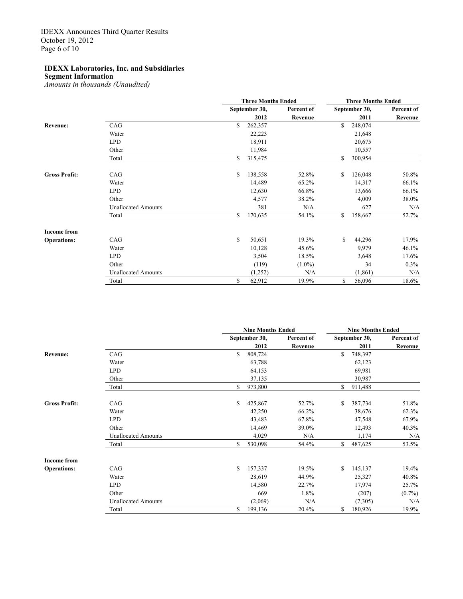**Segment Information**

*Amounts in thousands (Unaudited)*

|                      |                            | <b>Three Months Ended</b> |            | <b>Three Months Ended</b> |               |            |  |  |
|----------------------|----------------------------|---------------------------|------------|---------------------------|---------------|------------|--|--|
|                      |                            | September 30,             | Percent of |                           | September 30, | Percent of |  |  |
|                      |                            | 2012                      | Revenue    |                           | 2011          | Revenue    |  |  |
| <b>Revenue:</b>      | CAG                        | \$<br>262,357             |            | \$                        | 248,074       |            |  |  |
|                      | Water                      | 22,223                    |            |                           | 21,648        |            |  |  |
|                      | <b>LPD</b>                 | 18,911                    |            |                           | 20,675        |            |  |  |
|                      | Other                      | 11,984                    |            |                           | 10,557        |            |  |  |
|                      | Total                      | \$<br>315,475             |            | S.                        | 300,954       |            |  |  |
| <b>Gross Profit:</b> | CAG                        | \$<br>138,558             | 52.8%      | \$                        | 126,048       | 50.8%      |  |  |
|                      | Water                      | 14,489                    | 65.2%      |                           | 14,317        | 66.1%      |  |  |
|                      | <b>LPD</b>                 | 12,630                    | 66.8%      |                           | 13,666        | 66.1%      |  |  |
|                      | Other                      | 4,577                     | 38.2%      |                           | 4,009         | 38.0%      |  |  |
|                      | <b>Unallocated Amounts</b> | 381                       | N/A        |                           | 627           | N/A        |  |  |
|                      | Total                      | \$<br>170,635             | 54.1%      | \$                        | 158,667       | 52.7%      |  |  |
| <b>Income from</b>   |                            |                           |            |                           |               |            |  |  |
| <b>Operations:</b>   | CAG                        | \$<br>50,651              | 19.3%      | \$                        | 44,296        | 17.9%      |  |  |
|                      | Water                      | 10,128                    | 45.6%      |                           | 9,979         | 46.1%      |  |  |
|                      | <b>LPD</b>                 | 3,504                     | 18.5%      |                           | 3,648         | 17.6%      |  |  |
|                      | Other                      | (119)                     | $(1.0\%)$  |                           | 34            | $0.3\%$    |  |  |
|                      | <b>Unallocated Amounts</b> | (1,252)                   | N/A        |                           | (1, 861)      | N/A        |  |  |
|                      | Total                      | \$<br>62,912              | 19.9%      | \$                        | 56,096        | 18.6%      |  |  |

|                      |                            |    | <b>Nine Months Ended</b> |         | <b>Nine Months Ended</b> |               |            |  |  |
|----------------------|----------------------------|----|--------------------------|---------|--------------------------|---------------|------------|--|--|
|                      |                            |    | September 30,            |         |                          | September 30, | Percent of |  |  |
|                      |                            |    | 2012                     | Revenue |                          | 2011          | Revenue    |  |  |
| <b>Revenue:</b>      | CAG                        | \$ | 808,724                  |         | \$                       | 748,397       |            |  |  |
|                      | Water                      |    | 63,788                   |         |                          | 62,123        |            |  |  |
|                      | <b>LPD</b>                 |    | 64,153                   |         |                          | 69,981        |            |  |  |
|                      | Other                      |    | 37,135                   |         |                          | 30,987        |            |  |  |
|                      | Total                      | S  | 973,800                  |         | \$                       | 911,488       |            |  |  |
| <b>Gross Profit:</b> | CAG                        | \$ | 425,867                  | 52.7%   | \$                       | 387,734       | 51.8%      |  |  |
|                      | Water                      |    | 42,250                   | 66.2%   |                          | 38,676        | 62.3%      |  |  |
|                      | <b>LPD</b>                 |    | 43,483                   | 67.8%   |                          | 47,548        | 67.9%      |  |  |
|                      | Other                      |    | 14,469                   | 39.0%   |                          | 12,493        | 40.3%      |  |  |
|                      | <b>Unallocated Amounts</b> |    | 4,029                    | N/A     |                          | 1,174         | N/A        |  |  |
|                      | Total                      | S  | 530,098                  | 54.4%   | \$                       | 487,625       | 53.5%      |  |  |
| <b>Income from</b>   |                            |    |                          |         |                          |               |            |  |  |
| <b>Operations:</b>   | CAG                        | \$ | 157,337                  | 19.5%   | \$                       | 145,137       | 19.4%      |  |  |
|                      | Water                      |    | 28,619                   | 44.9%   |                          | 25,327        | 40.8%      |  |  |
|                      | <b>LPD</b>                 |    | 14,580                   | 22.7%   |                          | 17,974        | 25.7%      |  |  |
|                      | Other                      |    | 669                      | 1.8%    |                          | (207)         | $(0.7\%)$  |  |  |
|                      | <b>Unallocated Amounts</b> |    | (2,069)                  | N/A     |                          | (7,305)       | N/A        |  |  |
|                      | Total                      | \$ | 199,136                  | 20.4%   | \$                       | 180,926       | 19.9%      |  |  |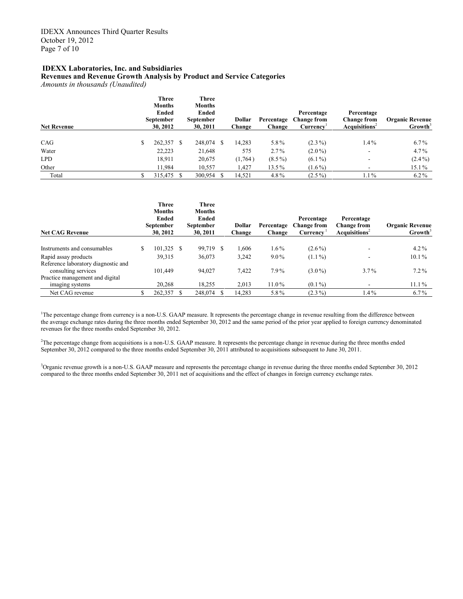**Revenues and Revenue Growth Analysis by Product and Service Categories**

*Amounts in thousands (Unaudited)*

| <b>Net Revenue</b> | Three<br><b>Months</b><br>Ended<br><b>September</b><br>30, 2012 | Three<br><b>Months</b><br>Ended<br><b>September</b><br>30, 2011 | <b>Dollar</b><br>Change | Percentage<br>Change | Percentage<br><b>Change from</b><br>Currency | Percentage<br><b>Change from</b><br>Acquisitions <sup>2</sup> | <b>Organic Revenue</b><br>Growth <sup>3</sup> |
|--------------------|-----------------------------------------------------------------|-----------------------------------------------------------------|-------------------------|----------------------|----------------------------------------------|---------------------------------------------------------------|-----------------------------------------------|
| CAG                | 262,357 \$                                                      | 248,074 \$                                                      | 14.283                  | 5.8%                 | $(2.3\%)$                                    | $1.4\%$                                                       | $6.7\%$                                       |
| Water              | 22,223                                                          | 21,648                                                          | 575                     | $2.7\%$              | $(2.0\%)$                                    | $\overline{\phantom{a}}$                                      | $4.7\%$                                       |
| <b>LPD</b>         | 18,911                                                          | 20,675                                                          | (1,764)                 | $(8.5\%)$            | $(6.1\%)$                                    | $\overline{\phantom{a}}$                                      | $(2.4\%)$                                     |
| Other              | 11,984                                                          | 10,557                                                          | 1,427                   | 13.5%                | $(1.6\%)$                                    | $\overline{\phantom{a}}$                                      | $15.1\%$                                      |
| Total              | 315.475 \$                                                      | 300,954                                                         | 14.521                  | 4.8%                 | $(2.5\%)$                                    | $1.1\%$                                                       | $6.2\%$                                       |

| <b>Net CAG Revenue</b>              |   | Three<br><b>Months</b><br>Ended<br><b>September</b><br>30, 2012 | Three<br><b>Months</b><br>Ended<br><b>September</b><br>30, 2011 | <b>Dollar</b><br>Change | Percentage<br>Change | Percentage<br><b>Change from</b><br>Currency | Percentage<br><b>Change from</b><br>Acquisitions <sup>2</sup> | <b>Organic Revenue</b><br>Growth <sup>3</sup> |
|-------------------------------------|---|-----------------------------------------------------------------|-----------------------------------------------------------------|-------------------------|----------------------|----------------------------------------------|---------------------------------------------------------------|-----------------------------------------------|
|                                     |   |                                                                 |                                                                 |                         |                      |                                              |                                                               |                                               |
| Instruments and consumables         | S | $101,325$ \$                                                    | 99,719 \$                                                       | 1,606                   | $1.6\%$              | $(2.6\%)$                                    |                                                               | $4.2\%$                                       |
| Rapid assay products                |   | 39,315                                                          | 36,073                                                          | 3,242                   | $9.0\%$              | $(1.1\%)$                                    |                                                               | $10.1\%$                                      |
| Reference laboratory diagnostic and |   |                                                                 |                                                                 |                         |                      |                                              |                                                               |                                               |
| consulting services                 |   | 101,449                                                         | 94,027                                                          | 7.422                   | $7.9\%$              | $(3.0\%)$                                    | $3.7\%$                                                       | $7.2\%$                                       |
| Practice management and digital     |   |                                                                 |                                                                 |                         |                      |                                              |                                                               |                                               |
| imaging systems                     |   | 20,268                                                          | 18,255                                                          | 2,013                   | $11.0\%$             | $(0.1\%)$                                    |                                                               | 11.1%                                         |
| Net CAG revenue                     |   | 262,357                                                         | 248,074                                                         | 14.283                  | 5.8%                 | $(2.3\%)$                                    | $1.4\%$                                                       | $6.7\%$                                       |

<sup>1</sup>The percentage change from currency is a non-U.S. GAAP measure. It represents the percentage change in revenue resulting from the difference between the average exchange rates during the three months ended September 30, 2012 and the same period of the prior year applied to foreign currency denominated revenues for the three months ended September 30, 2012.

<sup>2</sup>The percentage change from acquisitions is a non-U.S. GAAP measure. It represents the percentage change in revenue during the three months ended September 30, 2012 compared to the three months ended September 30, 2011 attributed to acquisitions subsequent to June 30, 2011.

3 Organic revenue growth is a non-U.S. GAAP measure and represents the percentage change in revenue during the three months ended September 30, 2012 compared to the three months ended September 30, 2011 net of acquisitions and the effect of changes in foreign currency exchange rates.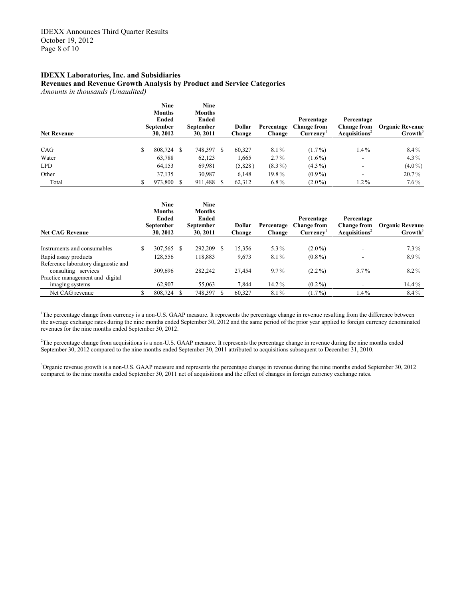**Revenues and Revenue Growth Analysis by Product and Service Categories** *Amounts in thousands (Unaudited)*

**Net Revenue Nine Months Ended September 30, 2012 Nine Months Ended September 30, 2011 Dollar Change Percentage Change Percentage Change from Currency**<sup>1</sup> **Percentage Change from Acquisitions**<sup>2</sup> **Organic Revenue Growth**<sup>3</sup> CAG 6808,724 \$ 748,397 \$ 60,327 8.1% (1.7%) 1.4% 8.4% Water 63,788 62,123 1,665 2.7% (1.6 %) - 4.3 % LPD 64,153 69,981  $(5,828)$   $(8.3\%)$   $(4.3\%)$  -  $(4.0\%)$ Other 37,135 30,987 6,148 19.8% (0.9%) - 20.7% Total  $$973,800 \text{ \$}911,488 \text{ \$}62,312 \text{ \$}68\% \text{ \$} (2.0\%) \text{ \$}1.2\% \text{ \$}7.6\%$ 

| <b>Net CAG Revenue</b>                                      | <b>Nine</b><br><b>Months</b><br>Ended<br><b>September</b><br>30, 2012 |   | <b>Nine</b><br><b>Months</b><br>Ended<br><b>September</b><br>30, 2011 |   | <b>Dollar</b><br>Change | Percentage<br>Change | Percentage<br><b>Change from</b><br><b>Currency</b> | Percentage<br><b>Change from</b><br>Acquisitions <sup>2</sup> | <b>Organic Revenue</b><br>Growth <sup>3</sup> |
|-------------------------------------------------------------|-----------------------------------------------------------------------|---|-----------------------------------------------------------------------|---|-------------------------|----------------------|-----------------------------------------------------|---------------------------------------------------------------|-----------------------------------------------|
| Instruments and consumables                                 | 307,565                                                               | S | 292,209                                                               | S | 15,356                  | 5.3%                 | $(2.0\%)$                                           |                                                               | $7.3\%$                                       |
| Rapid assay products<br>Reference laboratory diagnostic and | 128,556                                                               |   | 118,883                                                               |   | 9,673                   | $8.1\%$              | $(0.8\%)$                                           |                                                               | 8.9%                                          |
| consulting services<br>Practice management and digital      | 309,696                                                               |   | 282.242                                                               |   | 27,454                  | $9.7\%$              | $(2.2\%)$                                           | $3.7\%$                                                       | 8.2%                                          |
| imaging systems                                             | 62.907                                                                |   | 55,063                                                                |   | 7,844                   | $14.2\%$             | $(0.2\%)$                                           |                                                               | $14.4\%$                                      |
| Net CAG revenue                                             | 808,724                                                               |   | 748,397                                                               |   | 60,327                  | 8.1%                 | $(1.7\%)$                                           | $1.4\%$                                                       | 8.4%                                          |

<sup>1</sup>The percentage change from currency is a non-U.S. GAAP measure. It represents the percentage change in revenue resulting from the difference between the average exchange rates during the nine months ended September 30, 2012 and the same period of the prior year applied to foreign currency denominated revenues for the nine months ended September 30, 2012.

<sup>2</sup>The percentage change from acquisitions is a non-U.S. GAAP measure. It represents the percentage change in revenue during the nine months ended September 30, 2012 compared to the nine months ended September 30, 2011 attributed to acquisitions subsequent to December 31, 2010.

3 Organic revenue growth is a non-U.S. GAAP measure and represents the percentage change in revenue during the nine months ended September 30, 2012 compared to the nine months ended September 30, 2011 net of acquisitions and the effect of changes in foreign currency exchange rates.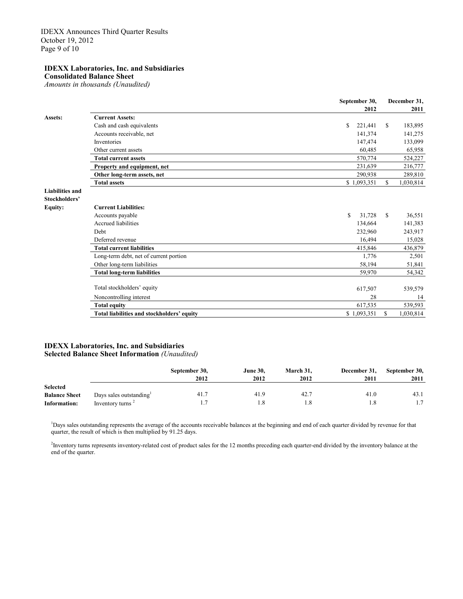**Consolidated Balance Sheet**

*Amounts in thousands (Unaudited)*

|                        |                                            | September 30, | December 31,    |
|------------------------|--------------------------------------------|---------------|-----------------|
|                        |                                            | 2012          | 2011            |
| Assets:                | <b>Current Assets:</b>                     |               |                 |
|                        | Cash and cash equivalents                  | \$<br>221,441 | \$<br>183,895   |
|                        | Accounts receivable, net                   | 141,374       | 141,275         |
|                        | <b>Inventories</b>                         | 147,474       | 133,099         |
|                        | Other current assets                       | 60.485        | 65,958          |
|                        | <b>Total current assets</b>                | 570,774       | 524,227         |
|                        | Property and equipment, net                | 231,639       | 216,777         |
|                        | Other long-term assets, net                | 290,938       | 289,810         |
|                        | <b>Total assets</b>                        | \$1,093,351   | 1,030,814<br>S. |
| <b>Liabilities</b> and |                                            |               |                 |
| Stockholders'          |                                            |               |                 |
| Equity:                | <b>Current Liabilities:</b>                |               |                 |
|                        | Accounts payable                           | \$<br>31,728  | S<br>36,551     |
|                        | <b>Accrued liabilities</b>                 | 134.664       | 141,383         |
|                        | Debt                                       | 232,960       | 243,917         |
|                        | Deferred revenue                           | 16,494        | 15,028          |
|                        | <b>Total current liabilities</b>           | 415,846       | 436,879         |
|                        | Long-term debt, net of current portion     | 1,776         | 2,501           |
|                        | Other long-term liabilities                | 58,194        | 51,841          |
|                        | <b>Total long-term liabilities</b>         | 59,970        | 54,342          |
|                        | Total stockholders' equity                 | 617,507       |                 |
|                        |                                            |               | 539,579         |
|                        | Noncontrolling interest                    | 28            | 14              |
|                        | <b>Total equity</b>                        | 617,535       | 539,593         |
|                        | Total liabilities and stockholders' equity | \$1,093,351   | \$<br>1,030,814 |

### **IDEXX Laboratories, Inc. and Subsidiaries Selected Balance Sheet Information** *(Unaudited)*

|                      |                              | September 30,<br>2012 | <b>June 30.</b><br>2012 | March 31.<br>2012 | December 31,<br>2011 | September 30,<br>2011 |
|----------------------|------------------------------|-----------------------|-------------------------|-------------------|----------------------|-----------------------|
| <b>Selected</b>      |                              |                       |                         |                   |                      |                       |
| <b>Balance Sheet</b> | Days sales outstanding       | 41.7                  | 41.9                    | 42.7              | 41.0                 | 43.1                  |
| Information:         | Inventory turns <sup>2</sup> |                       |                         |                   | 1.8                  |                       |

<sup>1</sup>Days sales outstanding represents the average of the accounts receivable balances at the beginning and end of each quarter divided by revenue for that quarter, the result of which is then multiplied by 91.25 days.

2 Inventory turns represents inventory-related cost of product sales for the 12 months preceding each quarter-end divided by the inventory balance at the end of the quarter.